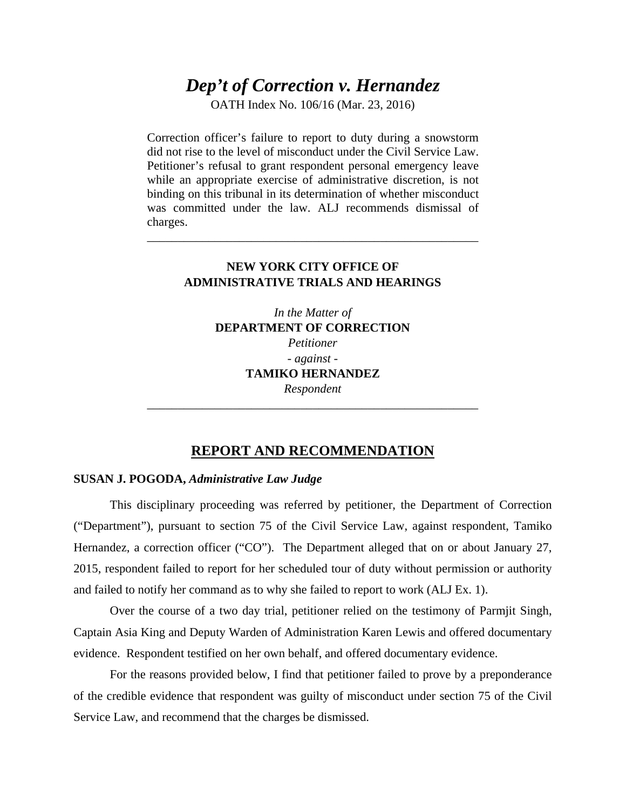# *Dep't of Correction v. Hernandez*

OATH Index No. 106/16 (Mar. 23, 2016)

Correction officer's failure to report to duty during a snowstorm did not rise to the level of misconduct under the Civil Service Law. Petitioner's refusal to grant respondent personal emergency leave while an appropriate exercise of administrative discretion, is not binding on this tribunal in its determination of whether misconduct was committed under the law. ALJ recommends dismissal of charges.

## **NEW YORK CITY OFFICE OF ADMINISTRATIVE TRIALS AND HEARINGS**

\_\_\_\_\_\_\_\_\_\_\_\_\_\_\_\_\_\_\_\_\_\_\_\_\_\_\_\_\_\_\_\_\_\_\_\_\_\_\_\_\_\_\_\_\_\_\_\_\_\_\_\_\_\_

*In the Matter of*  **DEPARTMENT OF CORRECTION**  *Petitioner - against -* **TAMIKO HERNANDEZ**  *Respondent*

# **REPORT AND RECOMMENDATION**

\_\_\_\_\_\_\_\_\_\_\_\_\_\_\_\_\_\_\_\_\_\_\_\_\_\_\_\_\_\_\_\_\_\_\_\_\_\_\_\_\_\_\_\_\_\_\_\_\_\_\_\_\_\_

## **SUSAN J. POGODA,** *Administrative Law Judge*

This disciplinary proceeding was referred by petitioner, the Department of Correction ("Department"), pursuant to section 75 of the Civil Service Law, against respondent, Tamiko Hernandez, a correction officer ("CO"). The Department alleged that on or about January 27, 2015, respondent failed to report for her scheduled tour of duty without permission or authority and failed to notify her command as to why she failed to report to work (ALJ Ex. 1).

Over the course of a two day trial, petitioner relied on the testimony of Parmjit Singh, Captain Asia King and Deputy Warden of Administration Karen Lewis and offered documentary evidence. Respondent testified on her own behalf, and offered documentary evidence.

For the reasons provided below, I find that petitioner failed to prove by a preponderance of the credible evidence that respondent was guilty of misconduct under section 75 of the Civil Service Law, and recommend that the charges be dismissed.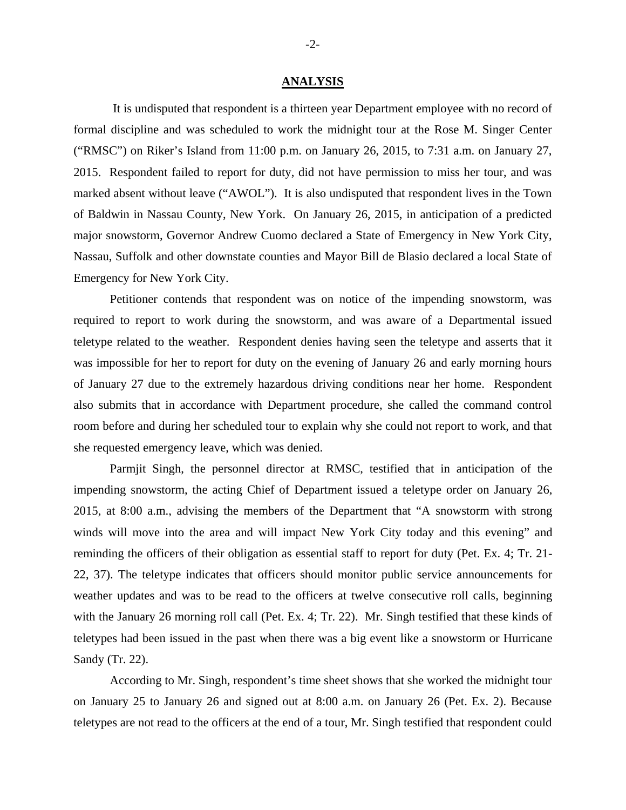#### **ANALYSIS**

 It is undisputed that respondent is a thirteen year Department employee with no record of formal discipline and was scheduled to work the midnight tour at the Rose M. Singer Center ("RMSC") on Riker's Island from 11:00 p.m. on January 26, 2015, to 7:31 a.m. on January 27, 2015. Respondent failed to report for duty, did not have permission to miss her tour, and was marked absent without leave ("AWOL"). It is also undisputed that respondent lives in the Town of Baldwin in Nassau County, New York. On January 26, 2015, in anticipation of a predicted major snowstorm, Governor Andrew Cuomo declared a State of Emergency in New York City, Nassau, Suffolk and other downstate counties and Mayor Bill de Blasio declared a local State of Emergency for New York City.

Petitioner contends that respondent was on notice of the impending snowstorm, was required to report to work during the snowstorm, and was aware of a Departmental issued teletype related to the weather. Respondent denies having seen the teletype and asserts that it was impossible for her to report for duty on the evening of January 26 and early morning hours of January 27 due to the extremely hazardous driving conditions near her home. Respondent also submits that in accordance with Department procedure, she called the command control room before and during her scheduled tour to explain why she could not report to work, and that she requested emergency leave, which was denied.

Parmjit Singh, the personnel director at RMSC, testified that in anticipation of the impending snowstorm, the acting Chief of Department issued a teletype order on January 26, 2015, at 8:00 a.m., advising the members of the Department that "A snowstorm with strong winds will move into the area and will impact New York City today and this evening" and reminding the officers of their obligation as essential staff to report for duty (Pet. Ex. 4; Tr. 21- 22, 37). The teletype indicates that officers should monitor public service announcements for weather updates and was to be read to the officers at twelve consecutive roll calls, beginning with the January 26 morning roll call (Pet. Ex. 4; Tr. 22). Mr. Singh testified that these kinds of teletypes had been issued in the past when there was a big event like a snowstorm or Hurricane Sandy (Tr. 22).

According to Mr. Singh, respondent's time sheet shows that she worked the midnight tour on January 25 to January 26 and signed out at 8:00 a.m. on January 26 (Pet. Ex. 2). Because teletypes are not read to the officers at the end of a tour, Mr. Singh testified that respondent could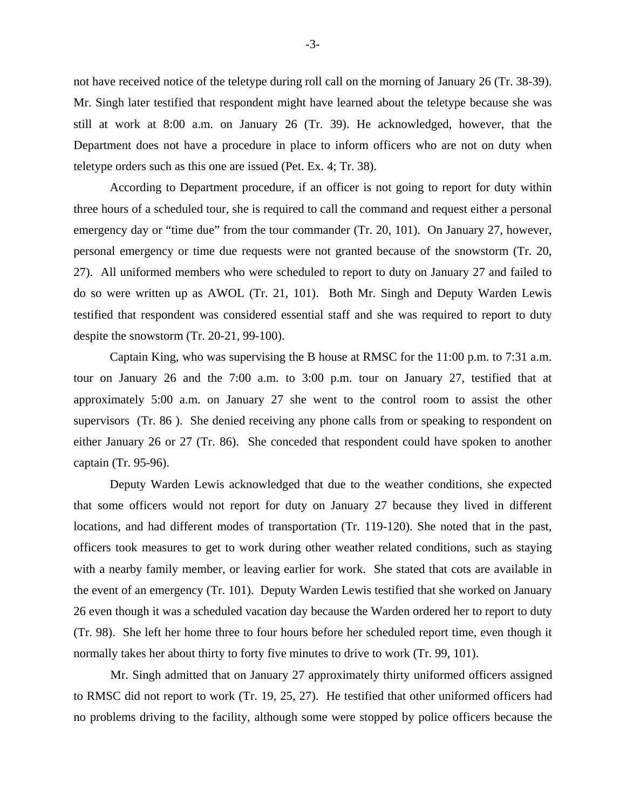not have received notice of the teletype during roll call on the morning of January 26 (Tr. 38-39). Mr. Singh later testified that respondent might have learned about the teletype because she was still at work at 8:00 a.m. on January 26 (Tr. 39). He acknowledged, however, that the Department does not have a procedure in place to inform officers who are not on duty when teletype orders such as this one are issued (Pet. Ex. 4; Tr. 38).

According to Department procedure, if an officer is not going to report for duty within three hours of a scheduled tour, she is required to call the command and request either a personal emergency day or "time due" from the tour commander (Tr. 20, 101). On January 27, however, personal emergency or time due requests were not granted because of the snowstorm (Tr. 20, 27). All uniformed members who were scheduled to report to duty on January 27 and failed to do so were written up as AWOL (Tr. 21, 101). Both Mr. Singh and Deputy Warden Lewis testified that respondent was considered essential staff and she was required to report to duty despite the snowstorm (Tr. 20-21, 99-100).

Captain King, who was supervising the B house at RMSC for the 11:00 p.m. to 7:31 a.m. tour on January 26 and the 7:00 a.m. to 3:00 p.m. tour on January 27, testified that at approximately 5:00 a.m. on January 27 she went to the control room to assist the other supervisors (Tr. 86 ). She denied receiving any phone calls from or speaking to respondent on either January 26 or 27 (Tr. 86). She conceded that respondent could have spoken to another captain (Tr. 95-96).

Deputy Warden Lewis acknowledged that due to the weather conditions, she expected that some officers would not report for duty on January 27 because they lived in different locations, and had different modes of transportation (Tr. 119-120). She noted that in the past, officers took measures to get to work during other weather related conditions, such as staying with a nearby family member, or leaving earlier for work. She stated that cots are available in the event of an emergency (Tr. 101). Deputy Warden Lewis testified that she worked on January 26 even though it was a scheduled vacation day because the Warden ordered her to report to duty (Tr. 98). She left her home three to four hours before her scheduled report time, even though it normally takes her about thirty to forty five minutes to drive to work (Tr. 99, 101).

 Mr. Singh admitted that on January 27 approximately thirty uniformed officers assigned to RMSC did not report to work (Tr. 19, 25, 27). He testified that other uniformed officers had no problems driving to the facility, although some were stopped by police officers because the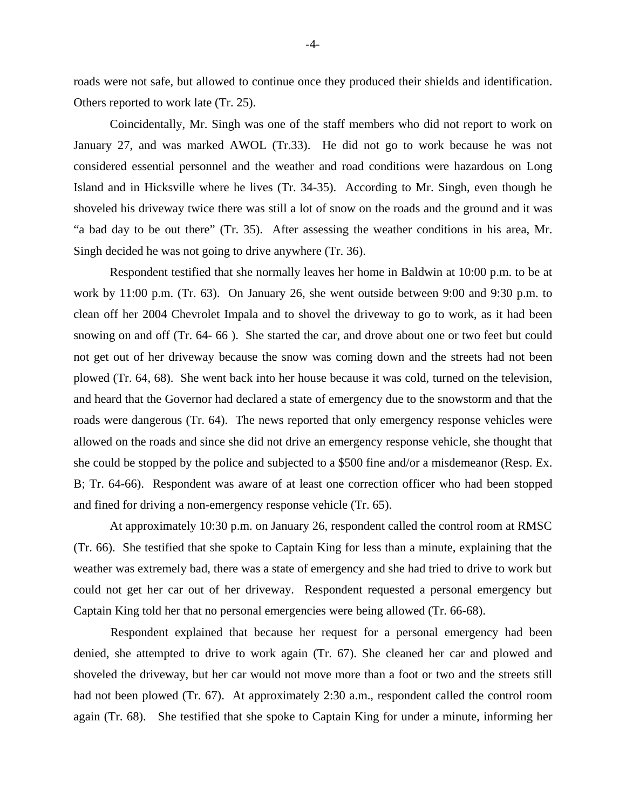roads were not safe, but allowed to continue once they produced their shields and identification. Others reported to work late (Tr. 25).

Coincidentally, Mr. Singh was one of the staff members who did not report to work on January 27, and was marked AWOL (Tr.33). He did not go to work because he was not considered essential personnel and the weather and road conditions were hazardous on Long Island and in Hicksville where he lives (Tr. 34-35). According to Mr. Singh, even though he shoveled his driveway twice there was still a lot of snow on the roads and the ground and it was "a bad day to be out there" (Tr. 35). After assessing the weather conditions in his area, Mr. Singh decided he was not going to drive anywhere (Tr. 36).

Respondent testified that she normally leaves her home in Baldwin at 10:00 p.m. to be at work by 11:00 p.m. (Tr. 63). On January 26, she went outside between 9:00 and 9:30 p.m. to clean off her 2004 Chevrolet Impala and to shovel the driveway to go to work, as it had been snowing on and off (Tr. 64- 66 ). She started the car, and drove about one or two feet but could not get out of her driveway because the snow was coming down and the streets had not been plowed (Tr. 64, 68). She went back into her house because it was cold, turned on the television, and heard that the Governor had declared a state of emergency due to the snowstorm and that the roads were dangerous (Tr. 64). The news reported that only emergency response vehicles were allowed on the roads and since she did not drive an emergency response vehicle, she thought that she could be stopped by the police and subjected to a \$500 fine and/or a misdemeanor (Resp. Ex. B; Tr. 64-66). Respondent was aware of at least one correction officer who had been stopped and fined for driving a non-emergency response vehicle (Tr. 65).

At approximately 10:30 p.m. on January 26, respondent called the control room at RMSC (Tr. 66). She testified that she spoke to Captain King for less than a minute, explaining that the weather was extremely bad, there was a state of emergency and she had tried to drive to work but could not get her car out of her driveway. Respondent requested a personal emergency but Captain King told her that no personal emergencies were being allowed (Tr. 66-68).

Respondent explained that because her request for a personal emergency had been denied, she attempted to drive to work again (Tr. 67). She cleaned her car and plowed and shoveled the driveway, but her car would not move more than a foot or two and the streets still had not been plowed (Tr. 67). At approximately 2:30 a.m., respondent called the control room again (Tr. 68). She testified that she spoke to Captain King for under a minute, informing her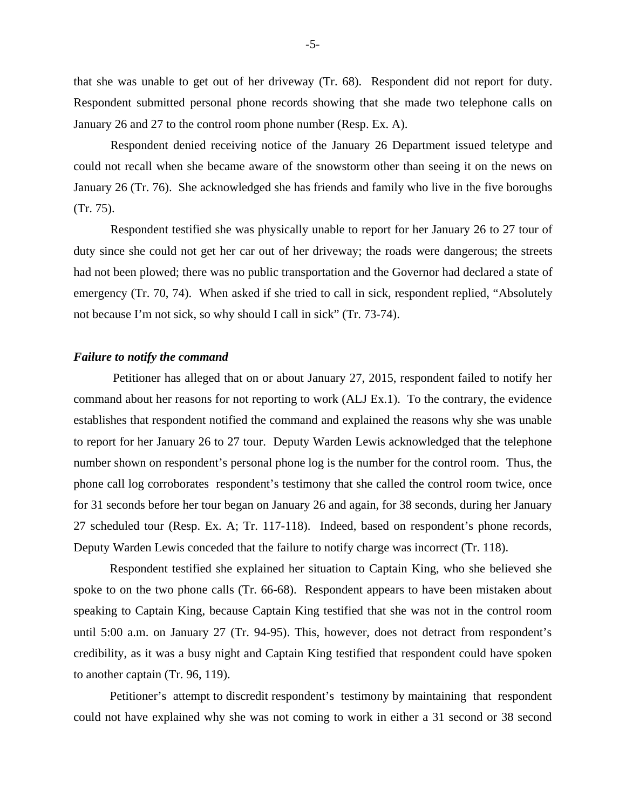that she was unable to get out of her driveway (Tr. 68). Respondent did not report for duty. Respondent submitted personal phone records showing that she made two telephone calls on January 26 and 27 to the control room phone number (Resp. Ex. A).

Respondent denied receiving notice of the January 26 Department issued teletype and could not recall when she became aware of the snowstorm other than seeing it on the news on January 26 (Tr. 76). She acknowledged she has friends and family who live in the five boroughs (Tr. 75).

Respondent testified she was physically unable to report for her January 26 to 27 tour of duty since she could not get her car out of her driveway; the roads were dangerous; the streets had not been plowed; there was no public transportation and the Governor had declared a state of emergency (Tr. 70, 74). When asked if she tried to call in sick, respondent replied, "Absolutely not because I'm not sick, so why should I call in sick" (Tr. 73-74).

## *Failure to notify the command*

 Petitioner has alleged that on or about January 27, 2015, respondent failed to notify her command about her reasons for not reporting to work (ALJ Ex.1). To the contrary, the evidence establishes that respondent notified the command and explained the reasons why she was unable to report for her January 26 to 27 tour. Deputy Warden Lewis acknowledged that the telephone number shown on respondent's personal phone log is the number for the control room.Thus, the phone call log corroborates respondent's testimony that she called the control room twice, once for 31 seconds before her tour began on January 26 and again, for 38 seconds, during her January 27 scheduled tour (Resp. Ex. A; Tr. 117-118). Indeed, based on respondent's phone records, Deputy Warden Lewis conceded that the failure to notify charge was incorrect (Tr. 118).

Respondent testified she explained her situation to Captain King, who she believed she spoke to on the two phone calls (Tr. 66-68). Respondent appears to have been mistaken about speaking to Captain King, because Captain King testified that she was not in the control room until 5:00 a.m. on January 27 (Tr. 94-95). This, however, does not detract from respondent's credibility, as it was a busy night and Captain King testified that respondent could have spoken to another captain (Tr. 96, 119).

Petitioner's attempt to discredit respondent's testimony by maintaining that respondent could not have explained why she was not coming to work in either a 31 second or 38 second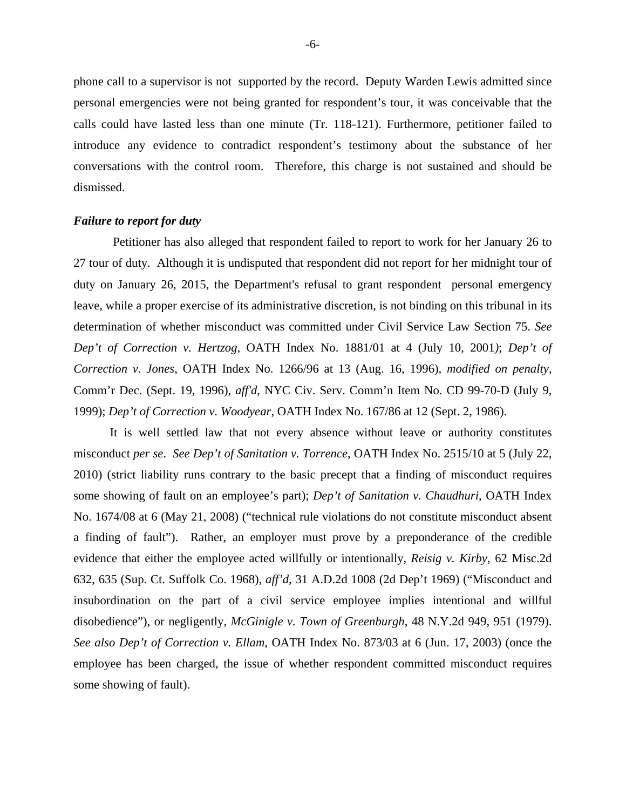phone call to a supervisor is not supported by the record. Deputy Warden Lewis admitted since personal emergencies were not being granted for respondent's tour, it was conceivable that the calls could have lasted less than one minute (Tr. 118-121). Furthermore, petitioner failed to introduce any evidence to contradict respondent's testimony about the substance of her conversations with the control room. Therefore, this charge is not sustained and should be dismissed.

#### *Failure to report for duty*

 Petitioner has also alleged that respondent failed to report to work for her January 26 to 27 tour of duty. Although it is undisputed that respondent did not report for her midnight tour of duty on January 26, 2015, the Department's refusal to grant respondent personal emergency leave, while a proper exercise of its administrative discretion, is not binding on this tribunal in its determination of whether misconduct was committed under Civil Service Law Section 75. *See Dep't of Correction v. Hertzog,* OATH Index No. 1881/01 at 4 (July 10, 2001*)*; *Dep't of Correction v. Jones*, OATH Index No. 1266/96 at 13 (Aug. 16, 1996), *modified on penalty*, Comm'r Dec. (Sept. 19, 1996), *aff'd*, NYC Civ. Serv. Comm'n Item No. CD 99-70-D (July 9, 1999); *Dep't of Correction v. Woodyear,* OATH Index No. 167/86 at 12 (Sept. 2, 1986).

It is well settled law that not every absence without leave or authority constitutes misconduct *per se*. *See Dep't of Sanitation v. Torrence*, OATH Index No. 2515/10 at 5 (July 22, 2010) (strict liability runs contrary to the basic precept that a finding of misconduct requires some showing of fault on an employee's part); *Dep't of Sanitation v. Chaudhuri*, OATH Index No. 1674/08 at 6 (May 21, 2008) ("technical rule violations do not constitute misconduct absent a finding of fault"). Rather, an employer must prove by a preponderance of the credible evidence that either the employee acted willfully or intentionally, *Reisig v. Kirby*, 62 Misc.2d 632, 635 (Sup. Ct. Suffolk Co. 1968), *aff'd*, 31 A.D.2d 1008 (2d Dep't 1969) ("Misconduct and insubordination on the part of a civil service employee implies intentional and willful disobedience"), or negligently, *McGinigle v. Town of Greenburgh*, 48 N.Y.2d 949, 951 (1979). *See also Dep't of Correction v. Ellam*, OATH Index No. 873/03 at 6 (Jun. 17, 2003) (once the employee has been charged, the issue of whether respondent committed misconduct requires some showing of fault).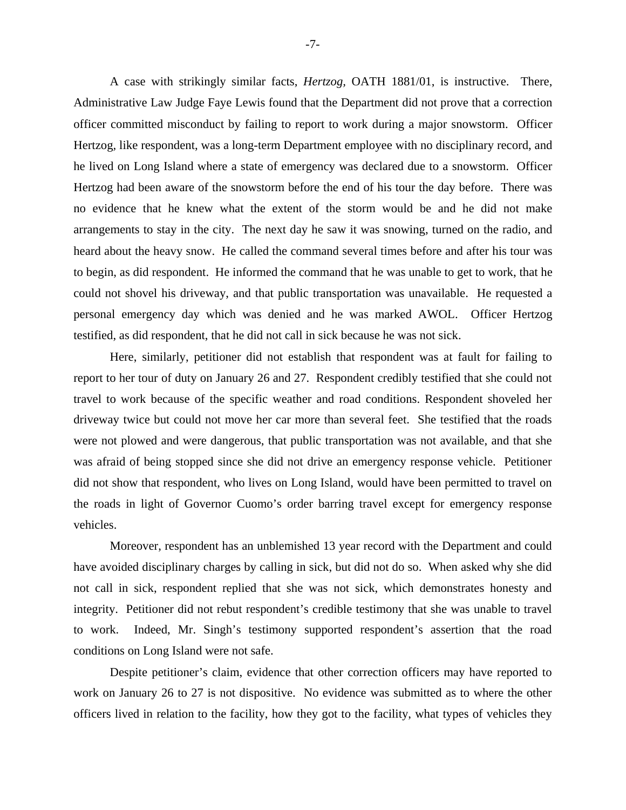A case with strikingly similar facts, *Hertzog,* OATH 1881/01, is instructive. There, Administrative Law Judge Faye Lewis found that the Department did not prove that a correction officer committed misconduct by failing to report to work during a major snowstorm. Officer Hertzog*,* like respondent, was a long-term Department employee with no disciplinary record, and he lived on Long Island where a state of emergency was declared due to a snowstorm. Officer Hertzog had been aware of the snowstorm before the end of his tour the day before. There was no evidence that he knew what the extent of the storm would be and he did not make arrangements to stay in the city. The next day he saw it was snowing, turned on the radio, and heard about the heavy snow. He called the command several times before and after his tour was to begin, as did respondent. He informed the command that he was unable to get to work, that he could not shovel his driveway, and that public transportation was unavailable. He requested a personal emergency day which was denied and he was marked AWOL. Officer Hertzog testified, as did respondent, that he did not call in sick because he was not sick.

Here, similarly, petitioner did not establish that respondent was at fault for failing to report to her tour of duty on January 26 and 27. Respondent credibly testified that she could not travel to work because of the specific weather and road conditions. Respondent shoveled her driveway twice but could not move her car more than several feet. She testified that the roads were not plowed and were dangerous, that public transportation was not available, and that she was afraid of being stopped since she did not drive an emergency response vehicle. Petitioner did not show that respondent, who lives on Long Island, would have been permitted to travel on the roads in light of Governor Cuomo's order barring travel except for emergency response vehicles.

Moreover, respondent has an unblemished 13 year record with the Department and could have avoided disciplinary charges by calling in sick, but did not do so. When asked why she did not call in sick, respondent replied that she was not sick, which demonstrates honesty and integrity. Petitioner did not rebut respondent's credible testimony that she was unable to travel to work. Indeed, Mr. Singh's testimony supported respondent's assertion that the road conditions on Long Island were not safe.

Despite petitioner's claim, evidence that other correction officers may have reported to work on January 26 to 27 is not dispositive. No evidence was submitted as to where the other officers lived in relation to the facility, how they got to the facility, what types of vehicles they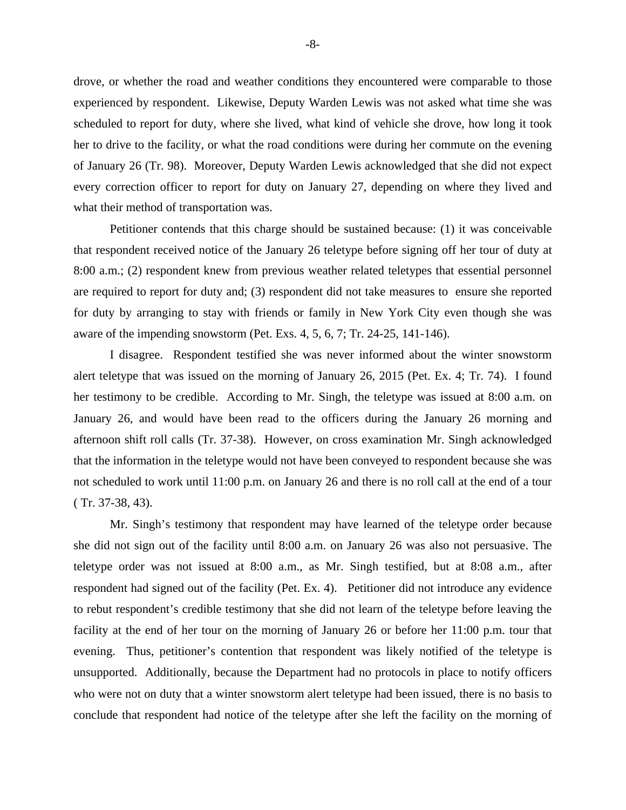drove, or whether the road and weather conditions they encountered were comparable to those experienced by respondent. Likewise, Deputy Warden Lewis was not asked what time she was scheduled to report for duty, where she lived, what kind of vehicle she drove, how long it took her to drive to the facility, or what the road conditions were during her commute on the evening of January 26 (Tr. 98). Moreover, Deputy Warden Lewis acknowledged that she did not expect every correction officer to report for duty on January 27, depending on where they lived and what their method of transportation was.

Petitioner contends that this charge should be sustained because: (1) it was conceivable that respondent received notice of the January 26 teletype before signing off her tour of duty at 8:00 a.m.; (2) respondent knew from previous weather related teletypes that essential personnel are required to report for duty and; (3) respondent did not take measures to ensure she reported for duty by arranging to stay with friends or family in New York City even though she was aware of the impending snowstorm (Pet. Exs. 4, 5, 6, 7; Tr. 24-25, 141-146).

I disagree. Respondent testified she was never informed about the winter snowstorm alert teletype that was issued on the morning of January 26, 2015 (Pet. Ex. 4; Tr. 74). I found her testimony to be credible. According to Mr. Singh, the teletype was issued at 8:00 a.m. on January 26, and would have been read to the officers during the January 26 morning and afternoon shift roll calls (Tr. 37-38). However, on cross examination Mr. Singh acknowledged that the information in the teletype would not have been conveyed to respondent because she was not scheduled to work until 11:00 p.m. on January 26 and there is no roll call at the end of a tour ( Tr. 37-38, 43).

Mr. Singh's testimony that respondent may have learned of the teletype order because she did not sign out of the facility until 8:00 a.m. on January 26 was also not persuasive. The teletype order was not issued at 8:00 a.m., as Mr. Singh testified, but at 8:08 a.m., after respondent had signed out of the facility (Pet. Ex. 4). Petitioner did not introduce any evidence to rebut respondent's credible testimony that she did not learn of the teletype before leaving the facility at the end of her tour on the morning of January 26 or before her 11:00 p.m. tour that evening. Thus, petitioner's contention that respondent was likely notified of the teletype is unsupported. Additionally, because the Department had no protocols in place to notify officers who were not on duty that a winter snowstorm alert teletype had been issued, there is no basis to conclude that respondent had notice of the teletype after she left the facility on the morning of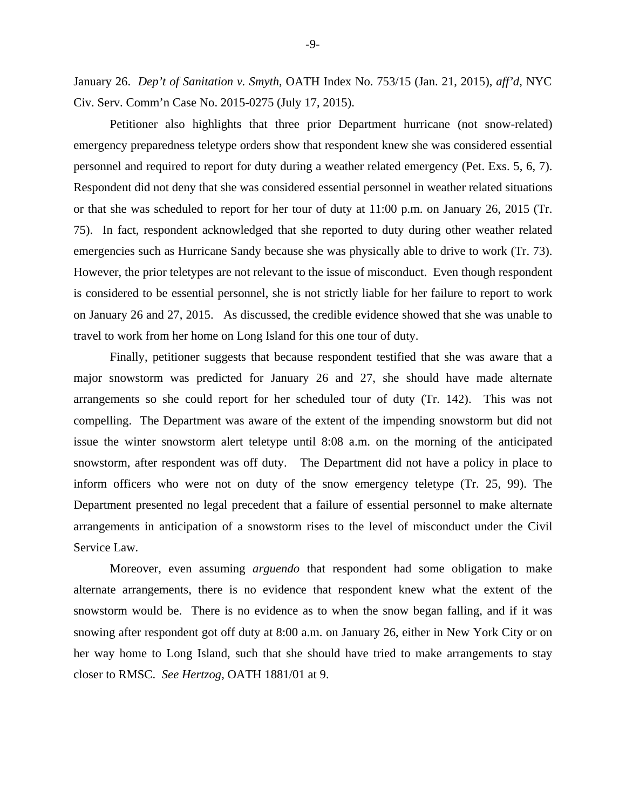January 26. *Dep't of Sanitation v. Smyth*, OATH Index No. 753/15 (Jan. 21, 2015), *aff'd,* NYC Civ. Serv. Comm'n Case No. 2015-0275 (July 17, 2015).

Petitioner also highlights that three prior Department hurricane (not snow-related) emergency preparedness teletype orders show that respondent knew she was considered essential personnel and required to report for duty during a weather related emergency (Pet. Exs. 5, 6, 7). Respondent did not deny that she was considered essential personnel in weather related situations or that she was scheduled to report for her tour of duty at 11:00 p.m. on January 26, 2015 (Tr. 75). In fact, respondent acknowledged that she reported to duty during other weather related emergencies such as Hurricane Sandy because she was physically able to drive to work (Tr. 73). However, the prior teletypes are not relevant to the issue of misconduct. Even though respondent is considered to be essential personnel, she is not strictly liable for her failure to report to work on January 26 and 27, 2015. As discussed, the credible evidence showed that she was unable to travel to work from her home on Long Island for this one tour of duty.

Finally, petitioner suggests that because respondent testified that she was aware that a major snowstorm was predicted for January 26 and 27, she should have made alternate arrangements so she could report for her scheduled tour of duty (Tr. 142). This was not compelling. The Department was aware of the extent of the impending snowstorm but did not issue the winter snowstorm alert teletype until 8:08 a.m. on the morning of the anticipated snowstorm, after respondent was off duty. The Department did not have a policy in place to inform officers who were not on duty of the snow emergency teletype (Tr. 25, 99). The Department presented no legal precedent that a failure of essential personnel to make alternate arrangements in anticipation of a snowstorm rises to the level of misconduct under the Civil Service Law.

Moreover, even assuming *arguendo* that respondent had some obligation to make alternate arrangements, there is no evidence that respondent knew what the extent of the snowstorm would be. There is no evidence as to when the snow began falling, and if it was snowing after respondent got off duty at 8:00 a.m. on January 26, either in New York City or on her way home to Long Island, such that she should have tried to make arrangements to stay closer to RMSC. *See Hertzog,* OATH 1881/01 at 9.